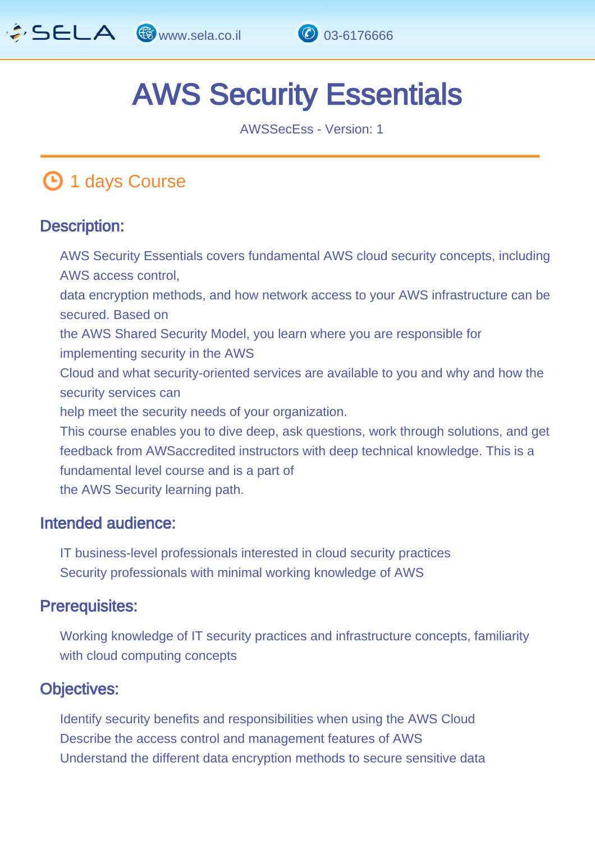

# AWS Security Essentials

AWSSecEss - Version: 1

# **1 days Course**

#### Description: Ī

AWS Security Essentials covers fundamental AWS cloud security concepts, including AWS access control, data encryption methods, and how network access to your AWS infrastructure can be secured. Based on the AWS Shared Security Model, you learn where you are responsible for implementing security in the AWS Cloud and what security-oriented services are available to you and why and how the security services can help meet the security needs of your organization. This course enables you to dive deep, ask questions, work through solutions, and get feedback from AWSaccredited instructors with deep technical knowledge. This is a fundamental level course and is a part of the AWS Security learning path.

#### Intended audience: I.

IT business-level professionals interested in cloud security practices Security professionals with minimal working knowledge of AWS

#### Prerequisites: Ï

Working knowledge of IT security practices and infrastructure concepts, familiarity with cloud computing concepts

#### Objectives: Ĭ

Identify security benefits and responsibilities when using the AWS Cloud Describe the access control and management features of AWS Understand the different data encryption methods to secure sensitive data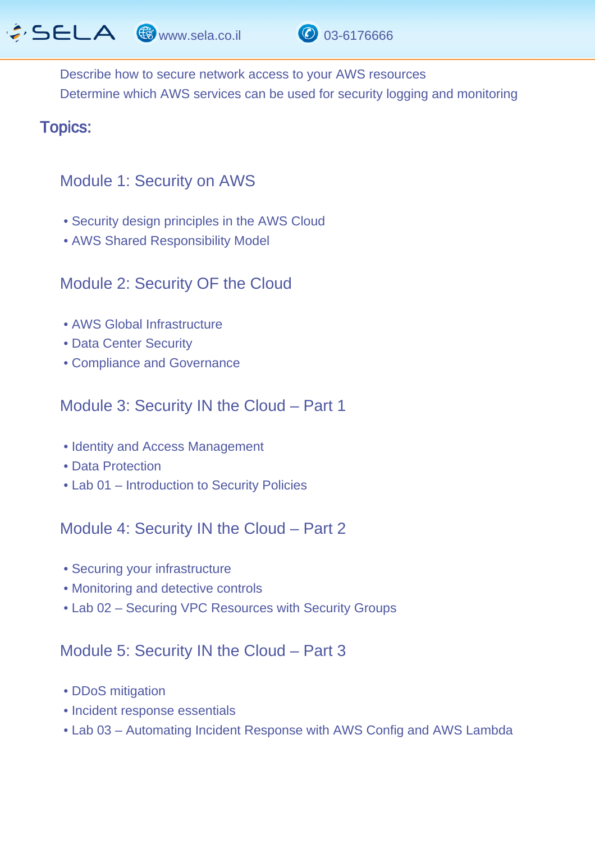$\hat{G}$  SELA  $\circledast$  www.sela.co.il  $\circledast$  03-6176666



Describe how to secure network access to your AWS resources Determine which AWS services can be used for security logging and monitoring

#### Topics: J.

### Module 1: Security on AWS

- Security design principles in the AWS Cloud
- AWS Shared Responsibility Model

## Module 2: Security OF the Cloud

- AWS Global Infrastructure
- Data Center Security
- Compliance and Governance

# Module 3: Security IN the Cloud – Part 1

- Identity and Access Management
- Data Protection
- Lab 01 Introduction to Security Policies

Module 4: Security IN the Cloud – Part 2

- Securing your infrastructure
- Monitoring and detective controls
- Lab 02 Securing VPC Resources with Security Groups

### Module 5: Security IN the Cloud – Part 3

- DDoS mitigation
- Incident response essentials
- Lab 03 Automating Incident Response with AWS Config and AWS Lambda